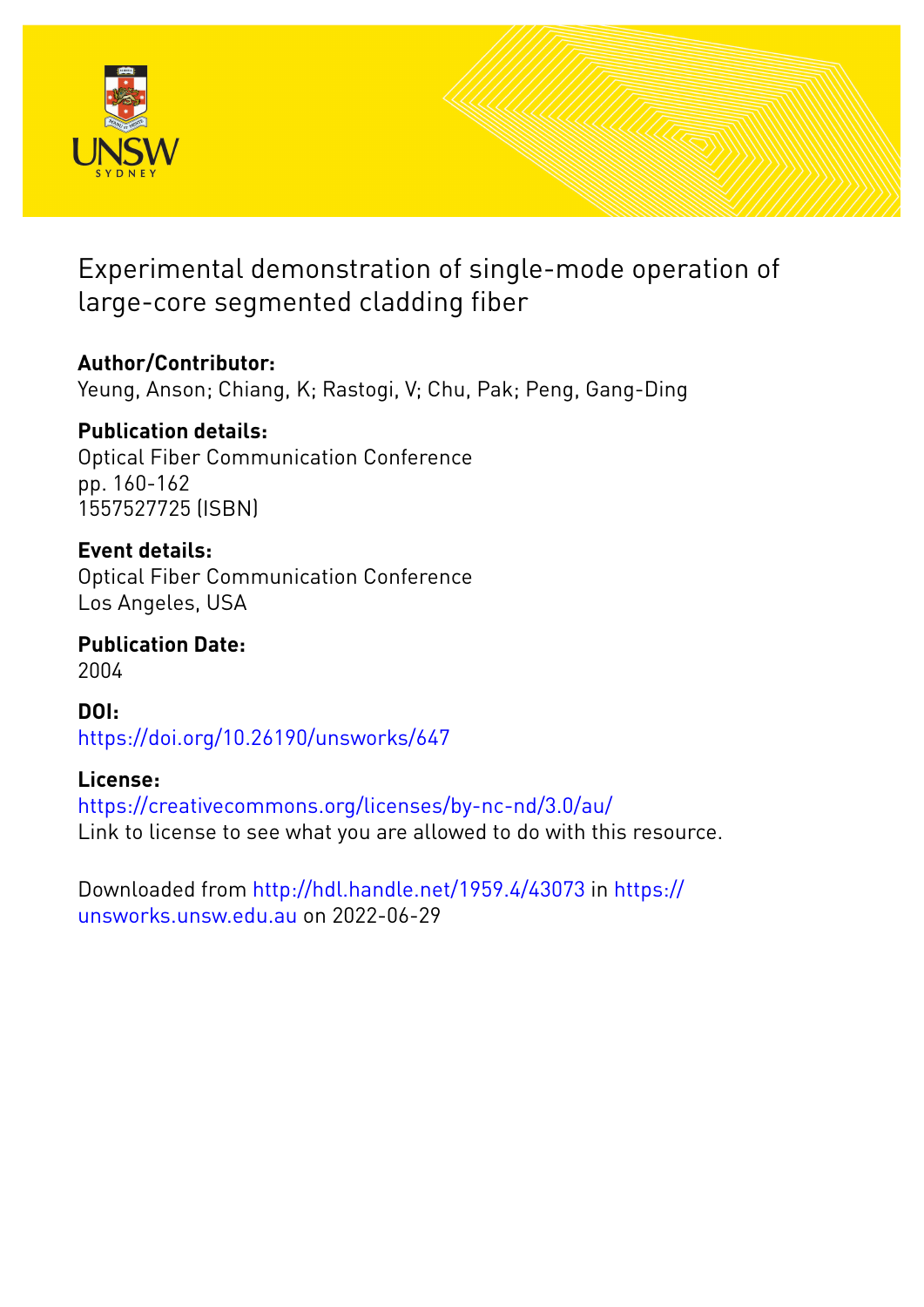

Experimental demonstration of single-mode operation of large-core segmented cladding fiber

# **Author/Contributor:**

Yeung, Anson; Chiang, K; Rastogi, V; Chu, Pak; Peng, Gang-Ding

## **Publication details:**

Optical Fiber Communication Conference pp. 160-162 1557527725 (ISBN)

### **Event details:**

Optical Fiber Communication Conference Los Angeles, USA

**Publication Date:** 2004

**DOI:** [https://doi.org/10.26190/unsworks/647](http://dx.doi.org/https://doi.org/10.26190/unsworks/647)

## **License:**

<https://creativecommons.org/licenses/by-nc-nd/3.0/au/> Link to license to see what you are allowed to do with this resource.

Downloaded from <http://hdl.handle.net/1959.4/43073> in [https://](https://unsworks.unsw.edu.au) [unsworks.unsw.edu.au](https://unsworks.unsw.edu.au) on 2022-06-29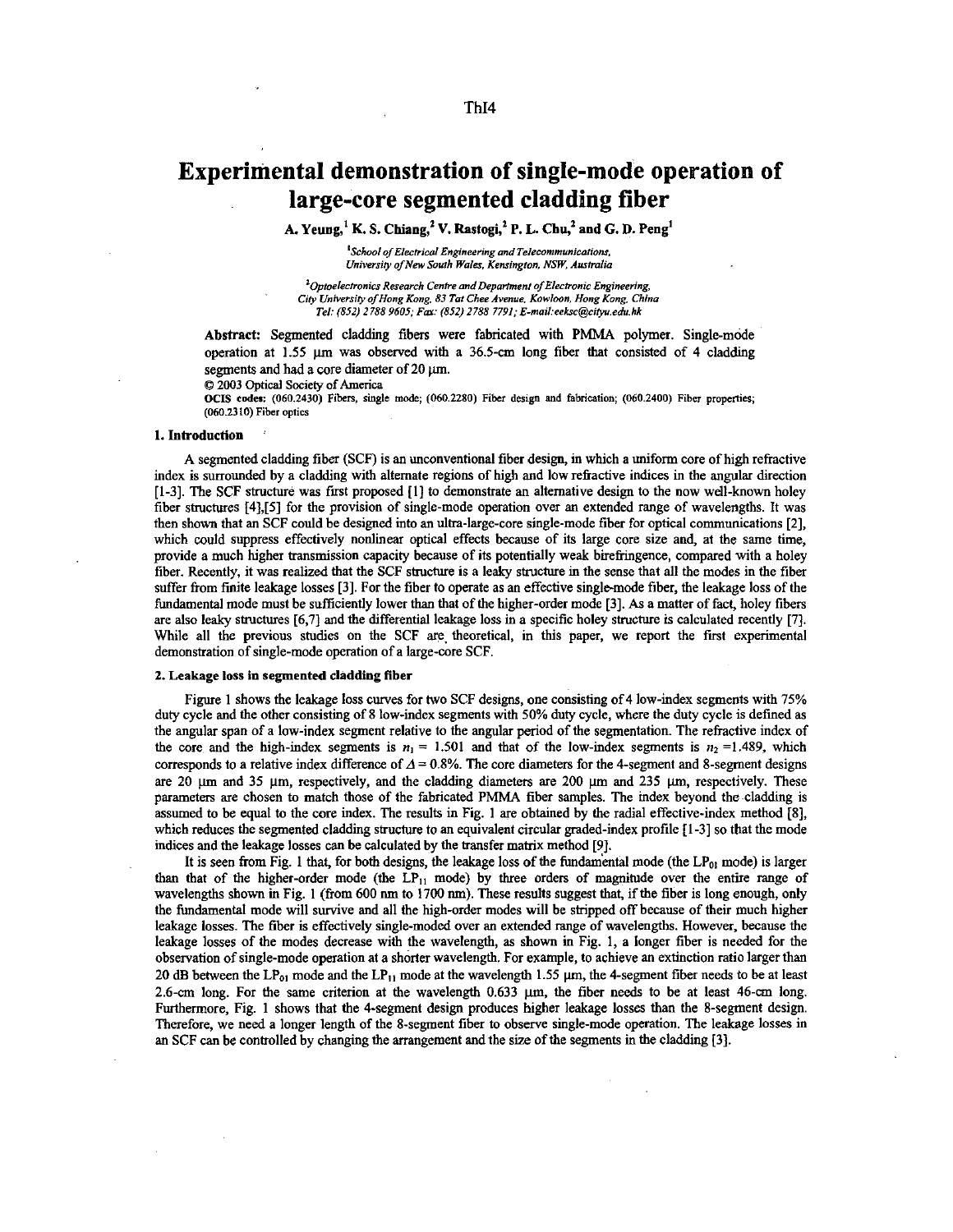### **Experimental demonstration of single-mode operation of large-core segmented cladding fiber**

A. **Yeung,'** K. **S. Chiang,' V.** Rastogi,' **P.** L. **Chu,'** and *G.* **D. Peng'** 

<sup>1</sup> School of Electrical Engineering and Telecommunications. *University of New South Wales, Kensington, NSW, Australia* 

<sup>2</sup> Optoelectronics Research Centre and Department of Electronic Engineering, *City Uniwrriry oJHong Kong. 83 TuI Chee Avenue, Kowloon, Hong Konc, Chino Tel: (852) 2 788 9605: Fa: (852) 1788 7791: E-mail:eeLw@iIpedxhk* 

Abstract: Segmented cladding fibers were fabricated with PMMA polymer. Singlemode operation at  $1.55 \mu m$  was observed with a 36.5-cm long fiber that consisted of 4 cladding segments and had a core diameter of 20  $\mu$ m.

*0* 2003 *optical* Society of America

**OCIS codes: (060.2430) Fibers, single mode, (060.2280) Fiber design and fabrication; (060.2400) Fibw properties; (060.2310) Fiber optics** 

#### **1.** Introduction :

A segmented cladding fiber (SCF) is an unconventional fiber design, in which a uniform core of high refractive index is surrounded by a cladding with alternate regions of high and low refractive indices in the angular direction [1-3]. The SCF structure was first proposed [1] to demonstrate an alternative design to the now well-known holey fiber structures [4],[5] for the provision of single-mode operation over an extended range of wavelengths. It was then shown that an SCF could be designed into an ultra-large-core single-mode fiber for optical communications **[2],**  which could suppress effectively nonlinear optical effects because of its large core size and, at the same time, provide a much higher transmission capacity because of its potentially weak bireriingence, compared with a holey fiber. Recently, it was realized that the SCF structure is a leaky structure in the sense that all the modes in the fiber suffer from finite leakage losses [3]. For the fiber to operate as an effective single-mode fiber, the leakage loss of the fundamental mode must be sufficiently lower than that of the higher-order mode [3]. As a matter of fact, holey fibers are **also** leaky shuctures [6,7] and the differential leakage loss in a specific holey structure is calculated recently [7]. While all the previous studies on the SCF are theoretical, in this paper, we report the first experimental demonstration of single-mode operation of a large-core SCF.

#### *2.* **Leakage loss in segmented cladding fiber**

Figure **1** shows the leakage loss curves for two SCF designs, one consisting of 4 low-index segments with 75% duty cycle and the other consisting of 8 low-index segments with 50% duty cycle, where the duty cycle is defmed **as**  the angular span of a low-index segment relative to the angular period of the segmentation. The refractive index of the core and the high-index segments is  $n_1 = 1.501$  and that of the low-index segments is  $n_2 = 1.489$ , which corresponds to a relative index difference of  $\Delta = 0.8\%$ . The core diameters for the 4-segment and 8-segment designs are 20  $\mu$ m and 35  $\mu$ m, respectively, and the cladding diameters are 200  $\mu$ m and 235  $\mu$ m, respectively. These parameters are chosen to match those of the fabricated PMMA fiber samples. The index beyond the cladding is assumed to be equal to the core index. The results in Fig. **1** are obtained by the radial effective-index method [8], which reduces the segmented cladding structure to an equivalent circular graded-index profile [1-3] so that the mode mdices and the leakage losses *can* be calculated by the transfer matrix method *[9].* 

It is seen from Fig. 1 that, for both designs, the leakage loss of the fundamental mode (the  $LP_{01}$  mode) is larger than that of the higher-order mode (the  $LP_{11}$  mode) by three orders of magnitude over the entire range of wavelengths shown in Fig. **1** (from *600* nm to **1700** nm). These results suggest that, if the fiber is long enough, only the fundamental mode will survive and all the high-order modes will be stripped off because of their much higher leakage losses. The fiber is effectively single-moded over an extended range of wavelengths. However, because the leakage losses of the modes decrease with the wavelength, **as** shown in Fig. **1,** a longer fiber is needed for the observation of single-mode operation at a shorter wavelength. For example, to achieve an extinction ratio larger than 20 dB between the  $LP_{01}$  mode and the  $LP_{11}$  mode at the wavelength 1.55  $\mu$ m, the 4-segment fiber needs to be at least 2.6-cm long. For the same criterion at the wavelength 0.633  $\mu$ m, the fiber needs to be at least Furthermore, Fig. **1** shows that the 4-segment design produces higher leakage losses than the 8-segment design. Therefore, we need a longer length of the 8-segment fiber to observe single-mode operation. The leakage losses in an SCF can be controlled by changing the arrangement and the **size** of the segments in the cladding [3].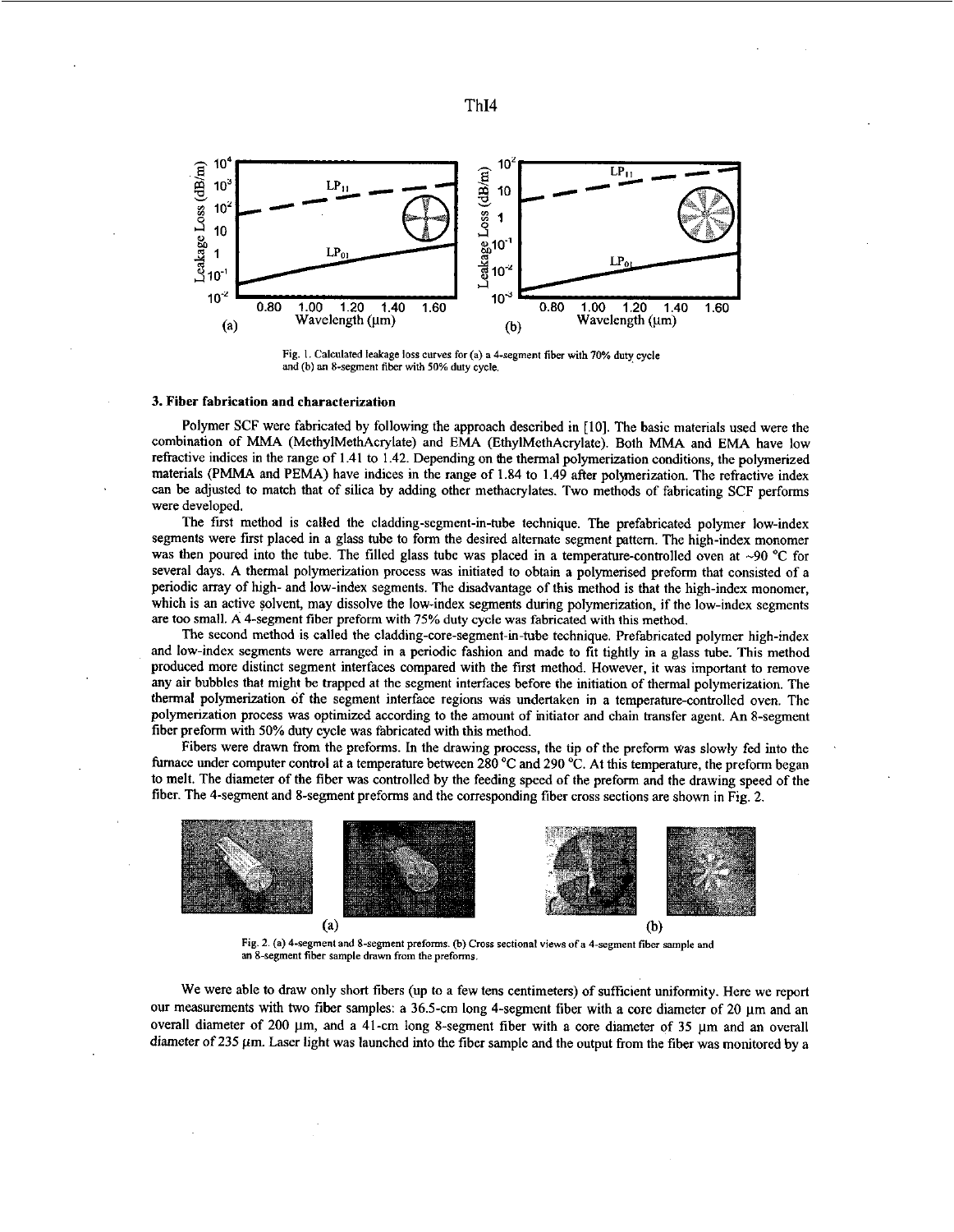



**Fig.** I. **Calculated ledage loss** *curves* **for (a) a 4-segment fiber with 70% duty cycle**  and (b) an 8-segment fiber with 50% duty cycle.

#### 3. Fiber fabrication and characterization

Polymer SCF were fabricated by following the approach described in [IO]. The basic materials used were the combination of MMA (MethylMethAcrylate) and EMA (EthylMethAcrylate). Both MMA and EMA have low refractive indices in the range of 1.41 to 1.42. Depending on the thermal polymerization conditions, the polymerized materials (PMMA and PEMA) have indices in the range of 1.84 to 1.49 after polymerization. The refractive index can be adjusted to match that of silica by adding other methacrylates. Two methods of fabricating SCF performs were developed.

The first method is called the cladding-segment-in-tube technique. The prefabricated polymer low-index segments were first placed in a glass tube **to** form the desired alternate segment pattern. The high-index monomer was then poured into the tube. The filled glass tube was placed in a temperature-controlled oven at ~90 <sup>°</sup>C for several days. A thermal polymerization process was initiated to obtain a polymerised preform that consisted of a periodic array of high- and low-index segments. The disadvantage of this method is that the high-index monomer, which is an active solvent, may dissolve the low-index segments during polymerization, if the low-index segments are too small. A 4-segment fiber preform with **75%** duty cycle was fabricated with this method.

The second method is called the **cladding-core-segment-h-tube** technique. Prefabricated polymer high-index and low-index segments were arranged in a periodic fashion and made to fit tightly in a glass tube. This method produced more distinct segment interfaces compared with the first method. However, it was important to remove any air bubbles that might be trapped at the segment interfaces before the initiation of thermal polymerization. The thermal polymerization of the segment interface regions was undertaken in a temperature-controlled oven. The polymerization process was optimized according to the amount of initiator and chain transfer agent. An 8-segment fiber preform with 50% duty cycle was fabricated with this method.

Fibers were drawn from the preforms. In the drawing process, the tip of the preform was slowly fed into the furnace under computer control at a temperature between 280 *"C* and 290 "C. At this temperature, the preform began to melt. The diameter of the fiber was controlled by the feeding speed of the preform and the drawing speed of the fiber. The 4-segment and 8-segment preforms and the corresponding fiber cross sections are shown in Fig. 2.



**Fig. 2. (a) 4-segment and 8-segment preforms. @)Cross sectional Views "fa 4-segment fibr sample and**  an 8-segment fiber sample drawn from the preforms.

We were able to draw only short fibers (up to a few tens centimeters) of sufficient uniformity. Here we report our measurements with two fiber samples: a 36.5-cm long 4-segment fiber with a core diameter of 20 µm and an overall diameter of 200 µm, and a 41-cm long 8-segment fiber with a core diameter of 35 µm and an overall diameter of 235  $\mu$ m. Laser light was launched into the fiber sample and the output from the fiber was monitored by a